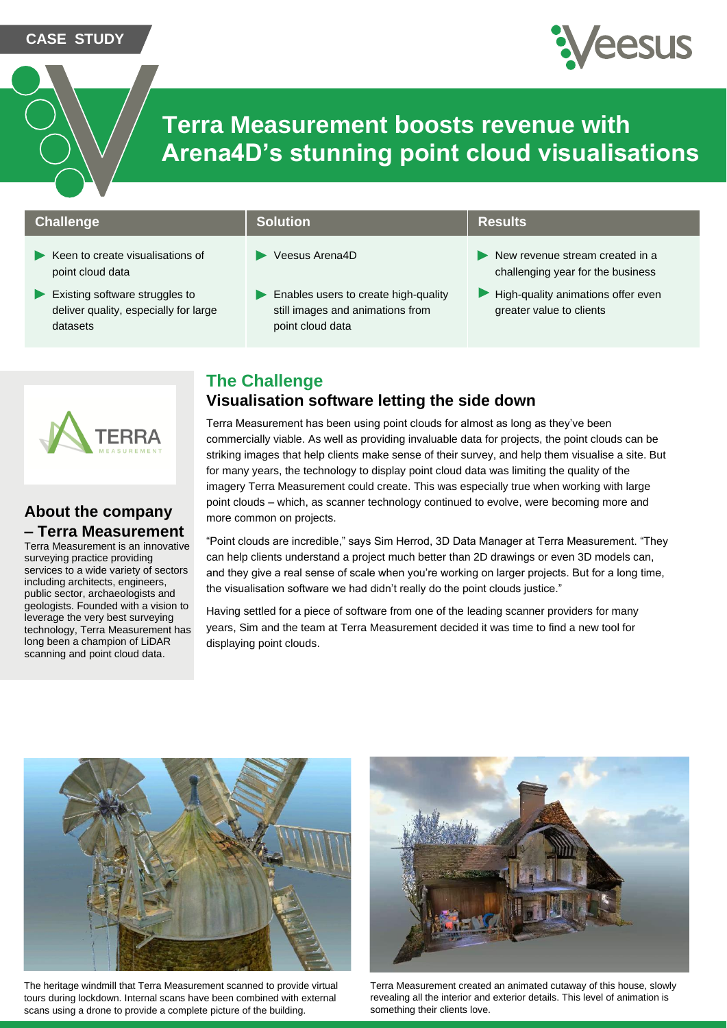**CASE STUDY**



# **Terra Measurement boosts revenue with Arena4D's stunning point cloud visualisations**

### **Challenge Solution Results Results**

- $\blacktriangleright$  Keen to create visualisations of point cloud data
- Existing software struggles to deliver quality, especially for large datasets

- Veesus Arena4D
- Enables users to create high-quality still images and animations from point cloud data

- New revenue stream created in a challenging year for the business
- $\blacktriangleright$  High-quality animations offer even greater value to clients

# **The Challenge**

### **Visualisation software letting the side down**

Terra Measurement has been using point clouds for almost as long as they've been commercially viable. As well as providing invaluable data for projects, the point clouds can be striking images that help clients make sense of their survey, and help them visualise a site. But for many years, the technology to display point cloud data was limiting the quality of the imagery Terra Measurement could create. This was especially true when working with large point clouds – which, as scanner technology continued to evolve, were becoming more and more common on projects.

"Point clouds are incredible," says Sim Herrod, 3D Data Manager at Terra Measurement. "They can help clients understand a project much better than 2D drawings or even 3D models can, and they give a real sense of scale when you're working on larger projects. But for a long time, the visualisation software we had didn't really do the point clouds justice."

Having settled for a piece of software from one of the leading scanner providers for many years, Sim and the team at Terra Measurement decided it was time to find a new tool for displaying point clouds.



The heritage windmill that Terra Measurement scanned to provide virtual tours during lockdown. Internal scans have been combined with external scans using a drone to provide a complete picture of the building.



Terra Measurement created an animated cutaway of this house, slowly revealing all the interior and exterior details. This level of animation is something their clients love.

### **About the company – Terra Measurement**

Terra Measurement is an innovative surveying practice providing services to a wide variety of sectors including architects, engineers, public sector, archaeologists and geologists. Founded with a vision to leverage the very best surveying technology, Terra Measurement has long been a champion of LiDAR scanning and point cloud data.